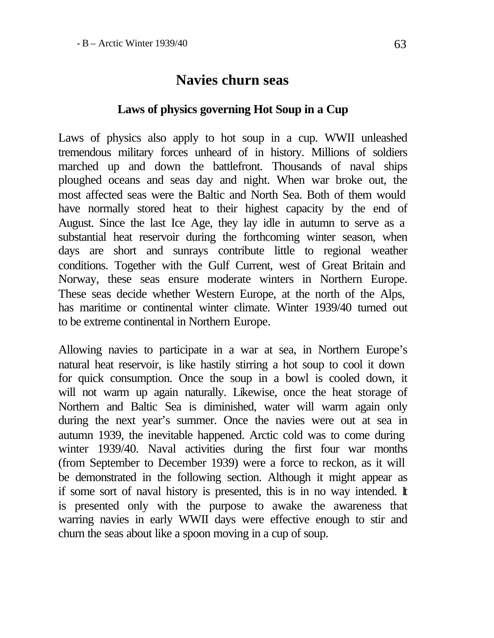# **Navies churn seas**

# **Laws of physics governing Hot Soup in a Cup**

Laws of physics also apply to hot soup in a cup. WWII unleashed tremendous military forces unheard of in history. Millions of soldiers marched up and down the battlefront. Thousands of naval ships ploughed oceans and seas day and night. When war broke out, the most affected seas were the Baltic and North Sea. Both of them would have normally stored heat to their highest capacity by the end of August. Since the last Ice Age, they lay idle in autumn to serve as a substantial heat reservoir during the forthcoming winter season, when days are short and sunrays contribute little to regional weather conditions. Together with the Gulf Current, west of Great Britain and Norway, these seas ensure moderate winters in Northern Europe. These seas decide whether Western Europe, at the north of the Alps, has maritime or continental winter climate. Winter 1939/40 turned out to be extreme continental in Northern Europe.

Allowing navies to participate in a war at sea, in Northern Europe's natural heat reservoir, is like hastily stirring a hot soup to cool it down for quick consumption. Once the soup in a bowl is cooled down, it will not warm up again naturally. Likewise, once the heat storage of Northern and Baltic Sea is diminished, water will warm again only during the next year's summer. Once the navies were out at sea in autumn 1939, the inevitable happened. Arctic cold was to come during winter 1939/40. Naval activities during the first four war months (from September to December 1939) were a force to reckon, as it will be demonstrated in the following section. Although it might appear as if some sort of naval history is presented, this is in no way intended. It is presented only with the purpose to awake the awareness that warring navies in early WWII days were effective enough to stir and churn the seas about like a spoon moving in a cup of soup.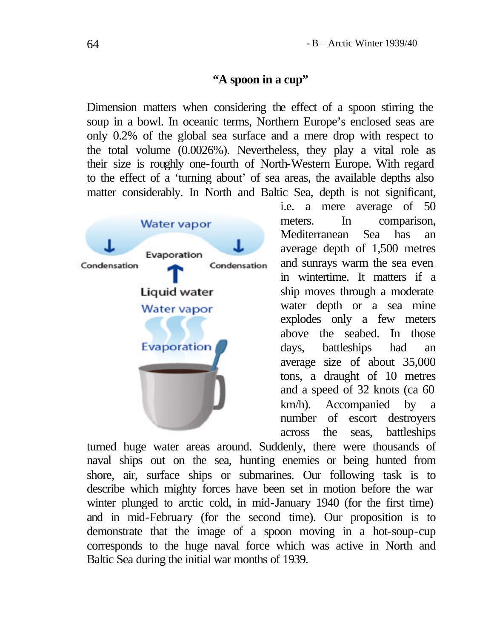#### **"A spoon in a cup"**

Dimension matters when considering the effect of a spoon stirring the soup in a bowl. In oceanic terms, Northern Europe's enclosed seas are only 0.2% of the global sea surface and a mere drop with respect to the total volume (0.0026%). Nevertheless, they play a vital role as their size is roughly one-fourth of North-Western Europe. With regard to the effect of a 'turning about' of sea areas, the available depths also matter considerably. In North and Baltic Sea, depth is not significant,



i.e. a mere average of 50 meters. In comparison, Mediterranean Sea has an average depth of 1,500 metres and sunrays warm the sea even in wintertime. It matters if a ship moves through a moderate water depth or a sea mine explodes only a few meters above the seabed. In those days, battleships had an average size of about 35,000 tons, a draught of 10 metres and a speed of 32 knots (ca 60 km/h). Accompanied by a number of escort destroyers across the seas, battleships

turned huge water areas around. Suddenly, there were thousands of naval ships out on the sea, hunting enemies or being hunted from shore, air, surface ships or submarines. Our following task is to describe which mighty forces have been set in motion before the war winter plunged to arctic cold, in mid-January 1940 (for the first time) and in mid-February (for the second time). Our proposition is to demonstrate that the image of a spoon moving in a hot-soup-cup corresponds to the huge naval force which was active in North and Baltic Sea during the initial war months of 1939.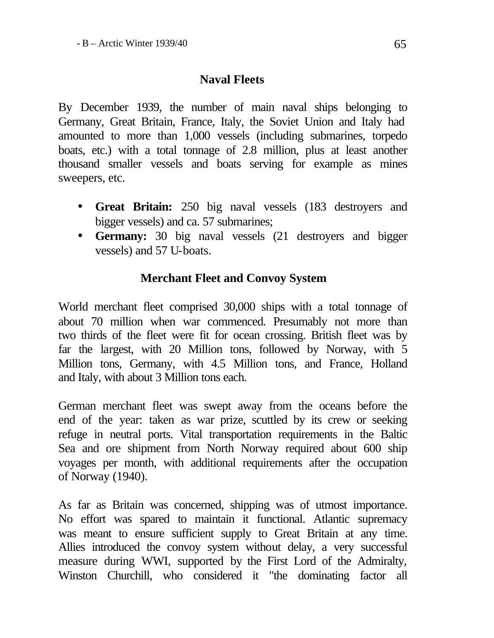# **Naval Fleets**

By December 1939, the number of main naval ships belonging to Germany, Great Britain, France, Italy, the Soviet Union and Italy had amounted to more than 1,000 vessels (including submarines, torpedo boats, etc.) with a total tonnage of 2.8 million, plus at least another thousand smaller vessels and boats serving for example as mines sweepers, etc.

- **Great Britain:** 250 big naval vessels (183 destroyers and bigger vessels) and ca. 57 submarines;
- **Germany:** 30 big naval vessels (21 destroyers and bigger vessels) and 57 U-boats.

## **Merchant Fleet and Convoy System**

World merchant fleet comprised 30,000 ships with a total tonnage of about 70 million when war commenced. Presumably not more than two thirds of the fleet were fit for ocean crossing. British fleet was by far the largest, with 20 Million tons, followed by Norway, with 5 Million tons, Germany, with 4.5 Million tons, and France, Holland and Italy, with about 3 Million tons each.

German merchant fleet was swept away from the oceans before the end of the year: taken as war prize, scuttled by its crew or seeking refuge in neutral ports. Vital transportation requirements in the Baltic Sea and ore shipment from North Norway required about 600 ship voyages per month, with additional requirements after the occupation of Norway (1940).

As far as Britain was concerned, shipping was of utmost importance. No effort was spared to maintain it functional. Atlantic supremacy was meant to ensure sufficient supply to Great Britain at any time. Allies introduced the convoy system without delay, a very successful measure during WWI, supported by the First Lord of the Admiralty, Winston Churchill, who considered it "the dominating factor all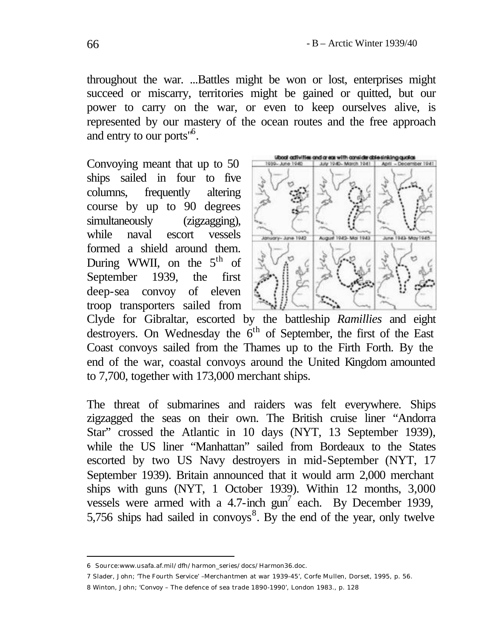throughout the war. ...Battles might be won or lost, enterprises might succeed or miscarry, territories might be gained or quitted, but our power to carry on the war, or even to keep ourselves alive, is represented by our mastery of the ocean routes and the free approach and entry to our ports"<sup>6</sup> .

Convoying meant that up to 50 ships sailed in four to five columns, frequently altering course by up to 90 degrees simultaneously (zigzagging), while naval escort vessels formed a shield around them. During WWII, on the  $5<sup>th</sup>$  of September 1939, the first deep-sea convoy of eleven troop transporters sailed from



Clyde for Gibraltar, escorted by the battleship *Ramillies* and eight destroyers. On Wednesday the 6<sup>th</sup> of September, the first of the East Coast convoys sailed from the Thames up to the Firth Forth. By the end of the war, coastal convoys around the United Kingdom amounted to 7,700, together with 173,000 merchant ships.

The threat of submarines and raiders was felt everywhere. Ships zigzagged the seas on their own. The British cruise liner "Andorra Star" crossed the Atlantic in 10 days (NYT, 13 September 1939), while the US liner "Manhattan" sailed from Bordeaux to the States escorted by two US Navy destroyers in mid-September (NYT, 17 September 1939). Britain announced that it would arm 2,000 merchant ships with guns (NYT, 1 October 1939). Within 12 months, 3,000 vessels were armed with a 4.7-inch  $gun^7$  each. By December 1939, 5,756 ships had sailed in convoys<sup>8</sup>. By the end of the year, only twelve

8 Winton, John; 'Convoy – The defence of sea trade 1890-1990', London 1983., p. 128

<sup>6</sup> Source:www.usafa.af.mil/dfh/harmon\_series/docs/Harmon36.doc.

<sup>7</sup> Slader, John; 'The Fourth Service' –Merchantmen at war 1939-45', Corfe Mullen, Dorset, 1995, p. 56.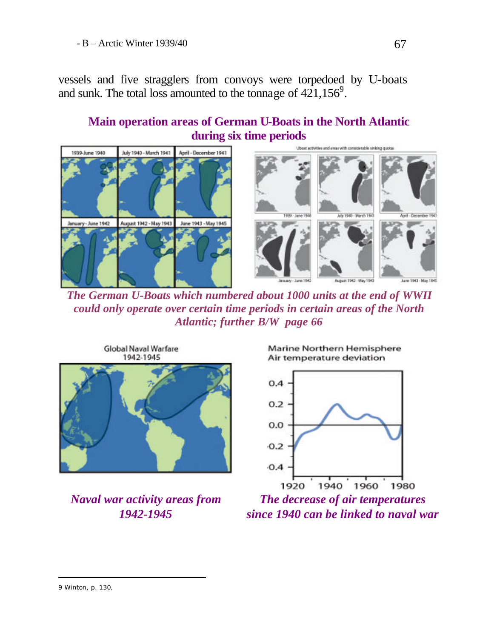vessels and five stragglers from convoys were torpedoed by U-boats and sunk. The total loss amounted to the tonnage of  $421,156^9$ .

# **Main operation areas of German U-Boats in the North Atlantic during six time periods**



*The German U-Boats which numbered about 1000 units at the end of WWII could only operate over certain time periods in certain areas of the North Atlantic; further B/W page 66*



*Naval war activity areas from 1942-1945*





*The decrease of air temperatures since 1940 can be linked to naval war*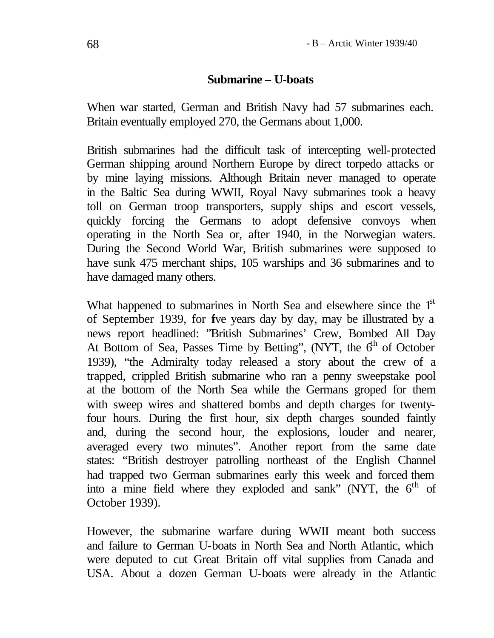### **Submarine – U-boats**

When war started, German and British Navy had 57 submarines each. Britain eventually employed 270, the Germans about 1,000.

British submarines had the difficult task of intercepting well-protected German shipping around Northern Europe by direct torpedo attacks or by mine laying missions. Although Britain never managed to operate in the Baltic Sea during WWII, Royal Navy submarines took a heavy toll on German troop transporters, supply ships and escort vessels, quickly forcing the Germans to adopt defensive convoys when operating in the North Sea or, after 1940, in the Norwegian waters. During the Second World War, British submarines were supposed to have sunk 475 merchant ships, 105 warships and 36 submarines and to have damaged many others.

What happened to submarines in North Sea and elsewhere since the 1<sup>st</sup> of September 1939, for five years day by day, may be illustrated by a news report headlined: "British Submarines' Crew, Bombed All Day At Bottom of Sea, Passes Time by Betting", (NYT, the  $6<sup>th</sup>$  of October 1939), "the Admiralty today released a story about the crew of a trapped, crippled British submarine who ran a penny sweepstake pool at the bottom of the North Sea while the Germans groped for them with sweep wires and shattered bombs and depth charges for twentyfour hours. During the first hour, six depth charges sounded faintly and, during the second hour, the explosions, louder and nearer, averaged every two minutes". Another report from the same date states: "British destroyer patrolling northeast of the English Channel had trapped two German submarines early this week and forced them into a mine field where they exploded and sank" (NYT, the  $6<sup>th</sup>$  of October 1939).

However, the submarine warfare during WWII meant both success and failure to German U-boats in North Sea and North Atlantic, which were deputed to cut Great Britain off vital supplies from Canada and USA. About a dozen German U-boats were already in the Atlantic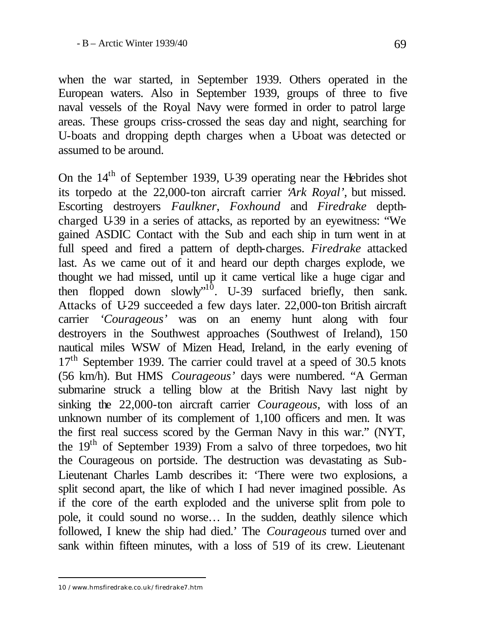when the war started, in September 1939. Others operated in the European waters. Also in September 1939, groups of three to five naval vessels of the Royal Navy were formed in order to patrol large areas. These groups criss-crossed the seas day and night, searching for U-boats and dropping depth charges when a U-boat was detected or assumed to be around.

On the 14th of September 1939, U-39 operating near the Hebrides shot its torpedo at the 22,000-ton aircraft carrier '*Ark Royal'*, but missed. Escorting destroyers *Faulkner*, *Foxhound* and *Firedrake* depthcharged U-39 in a series of attacks, as reported by an eyewitness: "We gained ASDIC Contact with the Sub and each ship in turn went in at full speed and fired a pattern of depth-charges. *Firedrake* attacked last. As we came out of it and heard our depth charges explode, we thought we had missed, until up it came vertical like a huge cigar and then flopped down slowly"<sup>10</sup>. U-39 surfaced briefly, then sank. Attacks of U-29 succeeded a few days later. 22,000-ton British aircraft carrier *'Courageous'* was on an enemy hunt along with four destroyers in the Southwest approaches (Southwest of Ireland), 150 nautical miles WSW of Mizen Head, Ireland, in the early evening of  $17<sup>th</sup>$  September 1939. The carrier could travel at a speed of 30.5 knots (56 km/h). But HMS *Courageous'* days were numbered. "A German submarine struck a telling blow at the British Navy last night by sinking the 22,000-ton aircraft carrier *Courageous*, with loss of an unknown number of its complement of 1,100 officers and men. It was the first real success scored by the German Navy in this war." (NYT, the 19th of September 1939) From a salvo of three torpedoes, two hit the Courageous on portside. The destruction was devastating as Sub-Lieutenant Charles Lamb describes it: 'There were two explosions, a split second apart, the like of which I had never imagined possible. As if the core of the earth exploded and the universe split from pole to pole, it could sound no worse… In the sudden, deathly silence which followed, I knew the ship had died.' The *Courageous* turned over and sank within fifteen minutes, with a loss of 519 of its crew. Lieutenant

<sup>10 /</sup>www.hmsfiredrake.co.uk/firedrake7.htm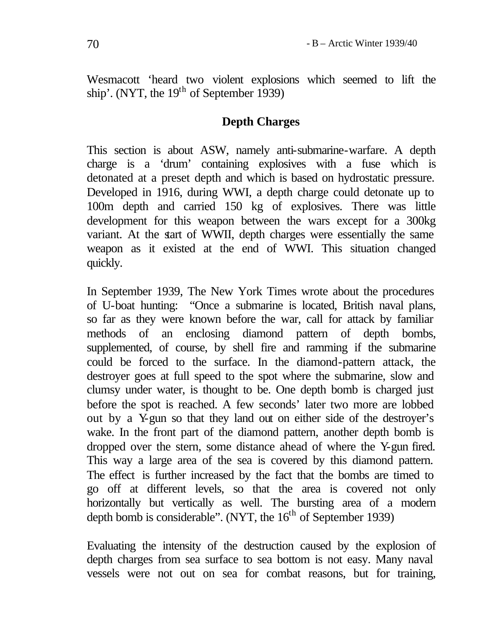Wesmacott 'heard two violent explosions which seemed to lift the ship'. (NYT, the  $19<sup>th</sup>$  of September 1939)

#### **Depth Charges**

This section is about ASW, namely anti-submarine-warfare. A depth charge is a 'drum' containing explosives with a fuse which is detonated at a preset depth and which is based on hydrostatic pressure. Developed in 1916, during WWI, a depth charge could detonate up to 100m depth and carried 150 kg of explosives. There was little development for this weapon between the wars except for a 300kg variant. At the start of WWII, depth charges were essentially the same weapon as it existed at the end of WWI. This situation changed quickly.

In September 1939, The New York Times wrote about the procedures of U-boat hunting: "Once a submarine is located, British naval plans, so far as they were known before the war, call for attack by familiar methods of an enclosing diamond pattern of depth bombs, supplemented, of course, by shell fire and ramming if the submarine could be forced to the surface. In the diamond-pattern attack, the destroyer goes at full speed to the spot where the submarine, slow and clumsy under water, is thought to be. One depth bomb is charged just before the spot is reached. A few seconds' later two more are lobbed out by a Y-gun so that they land out on either side of the destroyer's wake. In the front part of the diamond pattern, another depth bomb is dropped over the stern, some distance ahead of where the Y-gun fired. This way a large area of the sea is covered by this diamond pattern. The effect is further increased by the fact that the bombs are timed to go off at different levels, so that the area is covered not only horizontally but vertically as well. The bursting area of a modern depth bomb is considerable". (NYT, the  $16<sup>th</sup>$  of September 1939)

Evaluating the intensity of the destruction caused by the explosion of depth charges from sea surface to sea bottom is not easy. Many naval vessels were not out on sea for combat reasons, but for training,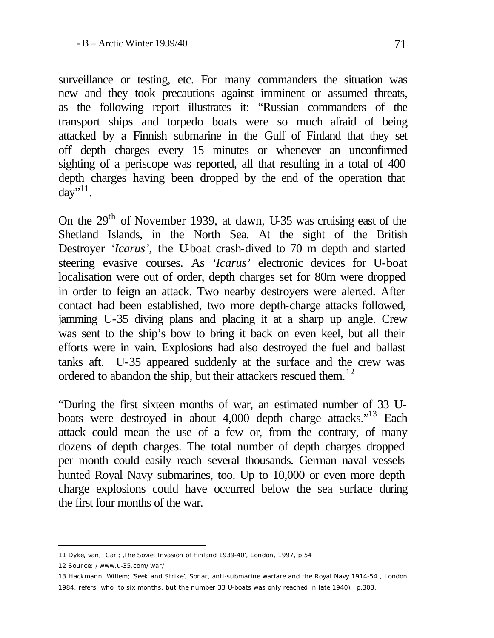surveillance or testing, etc. For many commanders the situation was new and they took precautions against imminent or assumed threats, as the following report illustrates it: "Russian commanders of the transport ships and torpedo boats were so much afraid of being attacked by a Finnish submarine in the Gulf of Finland that they set off depth charges every 15 minutes or whenever an unconfirmed sighting of a periscope was reported, all that resulting in a total of 400 depth charges having been dropped by the end of the operation that  $day$ <sup>',11</sup>.

On the 29<sup>th</sup> of November 1939, at dawn, U-35 was cruising east of the Shetland Islands, in the North Sea. At the sight of the British Destroyer *'Icarus'*, the U-boat crash-dived to 70 m depth and started steering evasive courses. As *'Icarus'* electronic devices for U-boat localisation were out of order, depth charges set for 80m were dropped in order to feign an attack. Two nearby destroyers were alerted. After contact had been established, two more depth-charge attacks followed, jamming U-35 diving plans and placing it at a sharp up angle. Crew was sent to the ship's bow to bring it back on even keel, but all their efforts were in vain. Explosions had also destroyed the fuel and ballast tanks aft. U-35 appeared suddenly at the surface and the crew was ordered to abandon the ship, but their attackers rescued them.<sup>12</sup>

"During the first sixteen months of war, an estimated number of 33 Uboats were destroyed in about 4,000 depth charge attacks."<sup>13</sup> Each attack could mean the use of a few or, from the contrary, of many dozens of depth charges. The total number of depth charges dropped per month could easily reach several thousands. German naval vessels hunted Royal Navy submarines, too. Up to 10,000 or even more depth charge explosions could have occurred below the sea surface during the first four months of the war.

<sup>11</sup> Dyke, van, Carl; 'The Soviet Invasion of Finland 1939-40', London, 1997, p.54

<sup>12</sup> Source: /www.u-35.com/war/

<sup>13</sup> Hackmann, Willem; 'Seek and Strike', Sonar, anti-submarine warfare and the Royal Navy 1914-54 , London 1984, refers who to six months, but the number 33 U-boats was only reached in late 1940), p.303.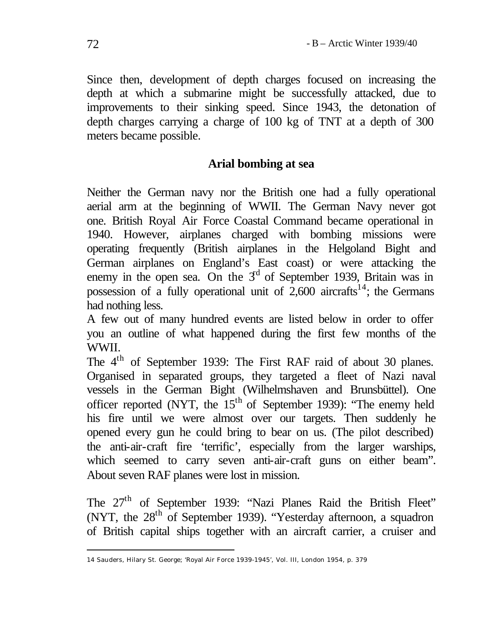Since then, development of depth charges focused on increasing the depth at which a submarine might be successfully attacked, due to improvements to their sinking speed. Since 1943, the detonation of depth charges carrying a charge of 100 kg of TNT at a depth of 300 meters became possible.

# **Arial bombing at sea**

Neither the German navy nor the British one had a fully operational aerial arm at the beginning of WWII. The German Navy never got one. British Royal Air Force Coastal Command became operational in 1940. However, airplanes charged with bombing missions were operating frequently (British airplanes in the Helgoland Bight and German airplanes on England's East coast) or were attacking the enemy in the open sea. On the  $3<sup>d</sup>$  of September 1939, Britain was in possession of a fully operational unit of 2,600 aircrafts<sup>14</sup>; the Germans had nothing less.

A few out of many hundred events are listed below in order to offer you an outline of what happened during the first few months of the WWII.

The 4<sup>th</sup> of September 1939: The First RAF raid of about 30 planes. Organised in separated groups, they targeted a fleet of Nazi naval vessels in the German Bight (Wilhelmshaven and Brunsbüttel). One officer reported (NYT, the  $15<sup>th</sup>$  of September 1939): "The enemy held his fire until we were almost over our targets. Then suddenly he opened every gun he could bring to bear on us. (The pilot described) the anti-air-craft fire 'terrific', especially from the larger warships, which seemed to carry seven anti-air-craft guns on either beam". About seven RAF planes were lost in mission.

The 27<sup>th</sup> of September 1939: "Nazi Planes Raid the British Fleet" (NYT, the  $28<sup>th</sup>$  of September 1939). "Yesterday afternoon, a squadron of British capital ships together with an aircraft carrier, a cruiser and

<sup>14</sup> Sauders, Hilary St. George; 'Royal Air Force 1939-1945', Vol. III, London 1954, p. 379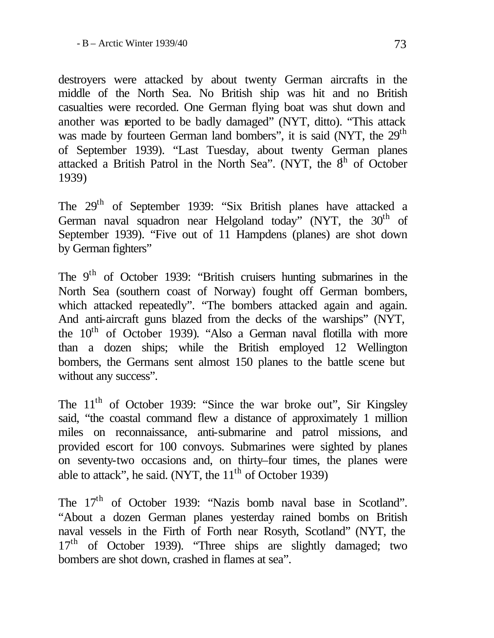destroyers were attacked by about twenty German aircrafts in the middle of the North Sea. No British ship was hit and no British casualties were recorded. One German flying boat was shut down and another was reported to be badly damaged" (NYT, ditto). "This attack was made by fourteen German land bombers", it is said (NYT, the 29<sup>th</sup>) of September 1939). "Last Tuesday, about twenty German planes attacked a British Patrol in the North Sea". (NYT, the  $8<sup>h</sup>$  of October 1939)

The 29th of September 1939: "Six British planes have attacked a German naval squadron near Helgoland today" (NYT, the 30<sup>th</sup> of September 1939). "Five out of 11 Hampdens (planes) are shot down by German fighters"

The 9<sup>th</sup> of October 1939: "British cruisers hunting submarines in the North Sea (southern coast of Norway) fought off German bombers, which attacked repeatedly". "The bombers attacked again and again. And anti-aircraft guns blazed from the decks of the warships" (NYT, the  $10<sup>th</sup>$  of October 1939). "Also a German naval flotilla with more than a dozen ships; while the British employed 12 Wellington bombers, the Germans sent almost 150 planes to the battle scene but without any success".

The  $11<sup>th</sup>$  of October 1939: "Since the war broke out", Sir Kingsley said, "the coastal command flew a distance of approximately 1 million miles on reconnaissance, anti-submarine and patrol missions, and provided escort for 100 convoys. Submarines were sighted by planes on seventy-two occasions and, on thirty–four times, the planes were able to attack", he said. (NYT, the  $11<sup>th</sup>$  of October 1939)

The 17<sup>th</sup> of October 1939: "Nazis bomb naval base in Scotland". "About a dozen German planes yesterday rained bombs on British naval vessels in the Firth of Forth near Rosyth, Scotland" (NYT, the 17<sup>th</sup> of October 1939). "Three ships are slightly damaged; two bombers are shot down, crashed in flames at sea".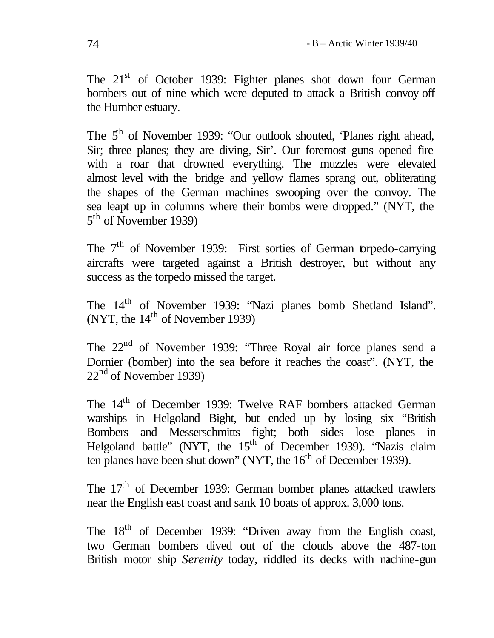The 21<sup>st</sup> of October 1939: Fighter planes shot down four German bombers out of nine which were deputed to attack a British convoy off the Humber estuary.

The  $5<sup>th</sup>$  of November 1939: "Our outlook shouted, 'Planes right ahead, Sir; three planes; they are diving, Sir'. Our foremost guns opened fire with a roar that drowned everything. The muzzles were elevated almost level with the bridge and yellow flames sprang out, obliterating the shapes of the German machines swooping over the convoy. The sea leapt up in columns where their bombs were dropped." (NYT, the 5<sup>th</sup> of November 1939)

The  $7<sup>th</sup>$  of November 1939: First sorties of German torpedo-carrying aircrafts were targeted against a British destroyer, but without any success as the torpedo missed the target.

The 14th of November 1939: "Nazi planes bomb Shetland Island". (NYT, the  $14<sup>th</sup>$  of November 1939)

The 22<sup>nd</sup> of November 1939: "Three Royal air force planes send a Dornier (bomber) into the sea before it reaches the coast". (NYT, the  $22<sup>nd</sup>$  of November 1939)

The 14th of December 1939: Twelve RAF bombers attacked German warships in Helgoland Bight, but ended up by losing six "British Bombers and Messerschmitts fight; both sides lose planes in Helgoland battle" (NYT, the  $15<sup>th</sup>$  of December 1939). "Nazis claim ten planes have been shut down" (NYT, the  $16<sup>th</sup>$  of December 1939).

The 17<sup>th</sup> of December 1939: German bomber planes attacked trawlers near the English east coast and sank 10 boats of approx. 3,000 tons.

The 18<sup>th</sup> of December 1939: "Driven away from the English coast, two German bombers dived out of the clouds above the 487-ton British motor ship *Serenity* today, riddled its decks with machine-gun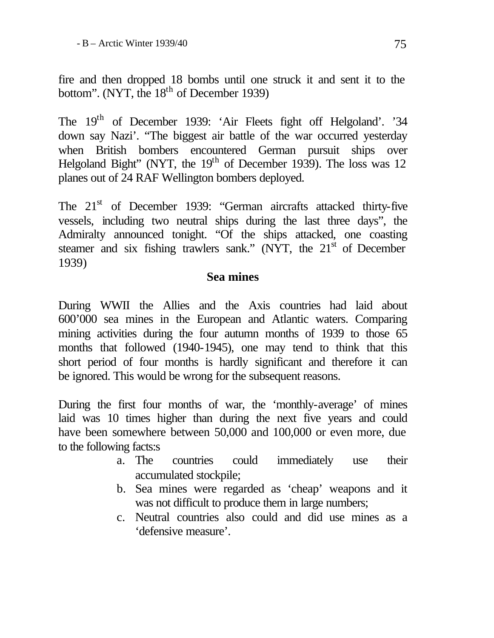fire and then dropped 18 bombs until one struck it and sent it to the bottom". (NYT, the  $18<sup>th</sup>$  of December 1939)

The 19<sup>th</sup> of December 1939: 'Air Fleets fight off Helgoland'. '34 down say Nazi'. "The biggest air battle of the war occurred yesterday when British bombers encountered German pursuit ships over Helgoland Bight" (NYT, the  $19<sup>th</sup>$  of December 1939). The loss was 12 planes out of 24 RAF Wellington bombers deployed.

The 21<sup>st</sup> of December 1939: "German aircrafts attacked thirty-five vessels, including two neutral ships during the last three days", the Admiralty announced tonight. "Of the ships attacked, one coasting steamer and six fishing trawlers sank." (NYT, the  $21<sup>st</sup>$  of December 1939)

#### **Sea mines**

During WWII the Allies and the Axis countries had laid about 600'000 sea mines in the European and Atlantic waters. Comparing mining activities during the four autumn months of 1939 to those 65 months that followed (1940-1945), one may tend to think that this short period of four months is hardly significant and therefore it can be ignored. This would be wrong for the subsequent reasons.

During the first four months of war, the 'monthly-average' of mines laid was 10 times higher than during the next five years and could have been somewhere between 50,000 and 100,000 or even more, due to the following facts:s

- a. The countries could immediately use their accumulated stockpile;
- b. Sea mines were regarded as 'cheap' weapons and it was not difficult to produce them in large numbers;
- c. Neutral countries also could and did use mines as a 'defensive measure'.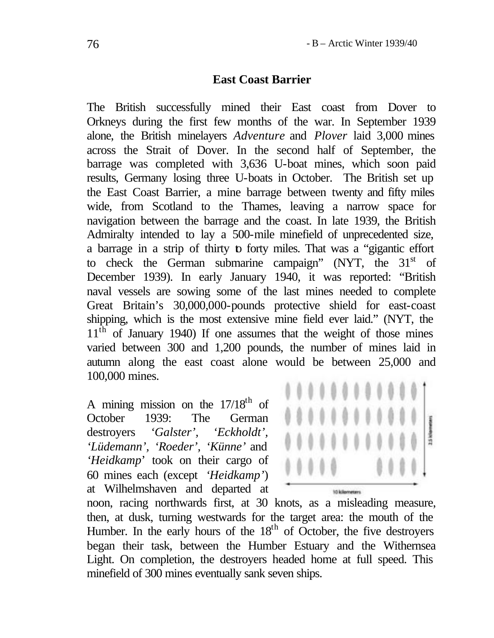#### **East Coast Barrier**

The British successfully mined their East coast from Dover to Orkneys during the first few months of the war. In September 1939 alone, the British minelayers *Adventure* and *Plover* laid 3,000 mines across the Strait of Dover. In the second half of September, the barrage was completed with 3,636 U-boat mines, which soon paid results, Germany losing three U-boats in October. The British set up the East Coast Barrier, a mine barrage between twenty and fifty miles wide, from Scotland to the Thames, leaving a narrow space for navigation between the barrage and the coast. In late 1939, the British Admiralty intended to lay a 500-mile minefield of unprecedented size, a barrage in a strip of thirty to forty miles. That was a "gigantic effort to check the German submarine campaign" (NYT, the  $31<sup>st</sup>$  of December 1939). In early January 1940, it was reported: "British naval vessels are sowing some of the last mines needed to complete Great Britain's 30,000,000-pounds protective shield for east-coast shipping, which is the most extensive mine field ever laid." (NYT, the 11<sup>th</sup> of January 1940) If one assumes that the weight of those mines varied between 300 and 1,200 pounds, the number of mines laid in autumn along the east coast alone would be between 25,000 and 100,000 mines.

A mining mission on the  $17/18^{\text{th}}$  of October 1939: The German destroyers *'Galster', 'Eckholdt', 'Lüdemann', 'Roeder', 'Künne'* and *'Heidkamp*' took on their cargo of 60 mines each (except *'Heidkamp'*) at Wilhelmshaven and departed at



noon, racing northwards first, at 30 knots, as a misleading measure, then, at dusk, turning westwards for the target area: the mouth of the Humber. In the early hours of the  $18<sup>th</sup>$  of October, the five destroyers began their task, between the Humber Estuary and the Withernsea Light. On completion, the destroyers headed home at full speed. This minefield of 300 mines eventually sank seven ships.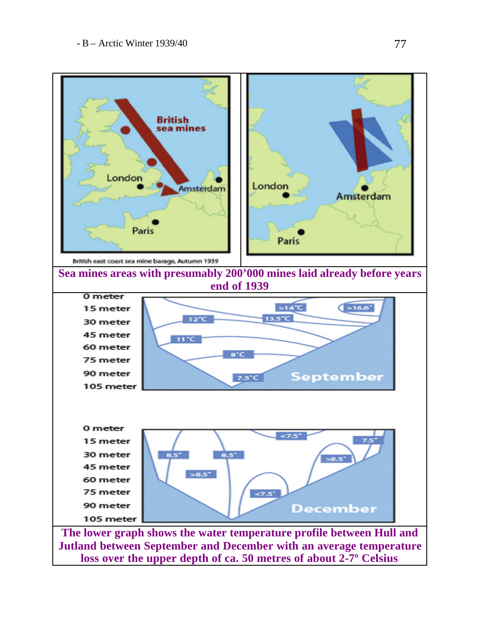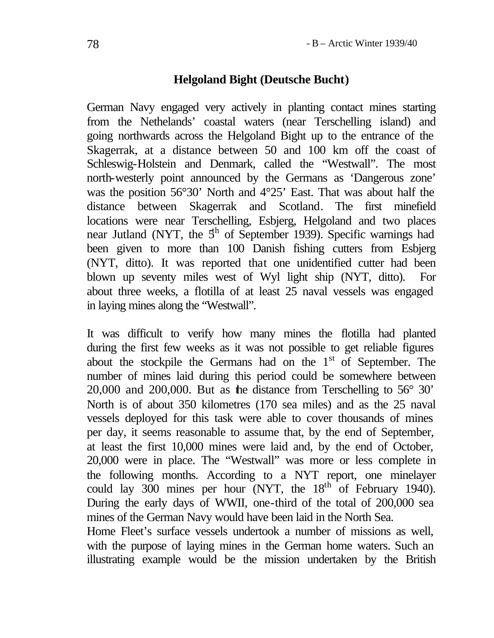### **Helgoland Bight (Deutsche Bucht)**

German Navy engaged very actively in planting contact mines starting from the Nethelands' coastal waters (near Terschelling island) and going northwards across the Helgoland Bight up to the entrance of the Skagerrak, at a distance between 50 and 100 km off the coast of Schleswig-Holstein and Denmark, called the "Westwall". The most north-westerly point announced by the Germans as 'Dangerous zone' was the position 56°30' North and 4°25' East. That was about half the distance between Skagerrak and Scotland. The first minefield locations were near Terschelling, Esbjerg, Helgoland and two places near Jutland (NYT, the  $5<sup>th</sup>$  of September 1939). Specific warnings had been given to more than 100 Danish fishing cutters from Esbjerg (NYT, ditto). It was reported that one unidentified cutter had been blown up seventy miles west of Wyl light ship (NYT, ditto). For about three weeks, a flotilla of at least 25 naval vessels was engaged in laying mines along the "Westwall".

It was difficult to verify how many mines the flotilla had planted during the first few weeks as it was not possible to get reliable figures about the stockpile the Germans had on the  $1<sup>st</sup>$  of September. The number of mines laid during this period could be somewhere between 20,000 and 200,000. But as the distance from Terschelling to 56° 30' North is of about 350 kilometres (170 sea miles) and as the 25 naval vessels deployed for this task were able to cover thousands of mines per day, it seems reasonable to assume that, by the end of September, at least the first 10,000 mines were laid and, by the end of October, 20,000 were in place. The "Westwall" was more or less complete in the following months. According to a NYT report, one minelayer could lay  $300$  mines per hour (NYT, the  $18<sup>th</sup>$  of February 1940). During the early days of WWII, one-third of the total of 200,000 sea mines of the German Navy would have been laid in the North Sea.

Home Fleet's surface vessels undertook a number of missions as well, with the purpose of laying mines in the German home waters. Such an illustrating example would be the mission undertaken by the British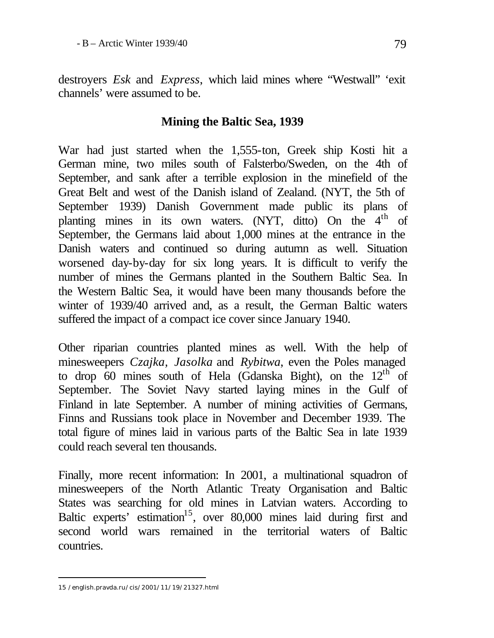destroyers *Esk* and *Express*, which laid mines where "Westwall" 'exit channels' were assumed to be.

## **Mining the Baltic Sea, 1939**

War had just started when the 1,555-ton, Greek ship Kosti hit a German mine, two miles south of Falsterbo/Sweden, on the 4th of September, and sank after a terrible explosion in the minefield of the Great Belt and west of the Danish island of Zealand. (NYT, the 5th of September 1939) Danish Government made public its plans of planting mines in its own waters. (NYT, ditto) On the 4<sup>th</sup> of September, the Germans laid about 1,000 mines at the entrance in the Danish waters and continued so during autumn as well. Situation worsened day-by-day for six long years. It is difficult to verify the number of mines the Germans planted in the Southern Baltic Sea. In the Western Baltic Sea, it would have been many thousands before the winter of 1939/40 arrived and, as a result, the German Baltic waters suffered the impact of a compact ice cover since January 1940.

Other riparian countries planted mines as well. With the help of minesweepers *Czajka, Jasolka* and *Rybitwa*, even the Poles managed to drop 60 mines south of Hela (Gdanska Bight), on the  $12<sup>th</sup>$  of September. The Soviet Navy started laying mines in the Gulf of Finland in late September. A number of mining activities of Germans, Finns and Russians took place in November and December 1939. The total figure of mines laid in various parts of the Baltic Sea in late 1939 could reach several ten thousands.

Finally, more recent information: In 2001, a multinational squadron of minesweepers of the North Atlantic Treaty Organisation and Baltic States was searching for old mines in Latvian waters. According to Baltic experts' estimation<sup>15</sup>, over 80,000 mines laid during first and second world wars remained in the territorial waters of Baltic countries.

<sup>15 /</sup>english.pravda.ru/cis/2001/11/19/21327.html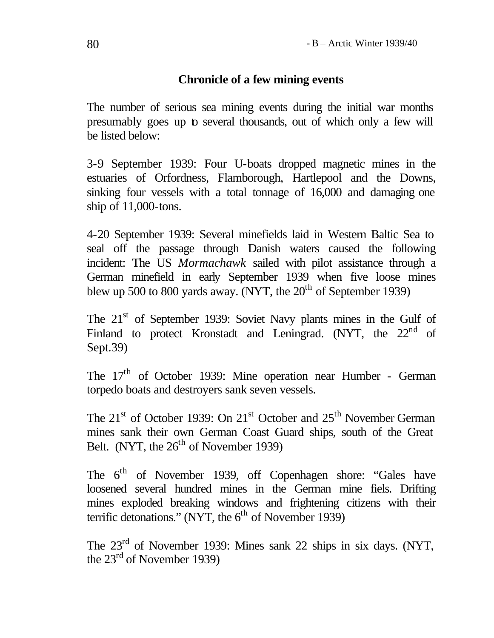### **Chronicle of a few mining events**

The number of serious sea mining events during the initial war months presumably goes up to several thousands, out of which only a few will be listed below:

3-9 September 1939: Four U-boats dropped magnetic mines in the estuaries of Orfordness, Flamborough, Hartlepool and the Downs, sinking four vessels with a total tonnage of 16,000 and damaging one ship of 11,000-tons.

4-20 September 1939: Several minefields laid in Western Baltic Sea to seal off the passage through Danish waters caused the following incident: The US *Mormachawk* sailed with pilot assistance through a German minefield in early September 1939 when five loose mines blew up 500 to 800 yards away. (NYT, the  $20<sup>th</sup>$  of September 1939)

The 21<sup>st</sup> of September 1939: Soviet Navy plants mines in the Gulf of Finland to protect Kronstadt and Leningrad. (NYT, the 22<sup>nd</sup> of Sept.39)

The 17<sup>th</sup> of October 1939: Mine operation near Humber - German torpedo boats and destroyers sank seven vessels.

The 21<sup>st</sup> of October 1939: On 21<sup>st</sup> October and 25<sup>th</sup> November German mines sank their own German Coast Guard ships, south of the Great Belt. (NYT, the  $26<sup>th</sup>$  of November 1939)

The 6<sup>th</sup> of November 1939, off Copenhagen shore: "Gales have loosened several hundred mines in the German mine fiels. Drifting mines exploded breaking windows and frightening citizens with their terrific detonations." (NYT, the  $6<sup>th</sup>$  of November 1939)

The 23rd of November 1939: Mines sank 22 ships in six days. (NYT, the  $23<sup>rd</sup>$  of November 1939)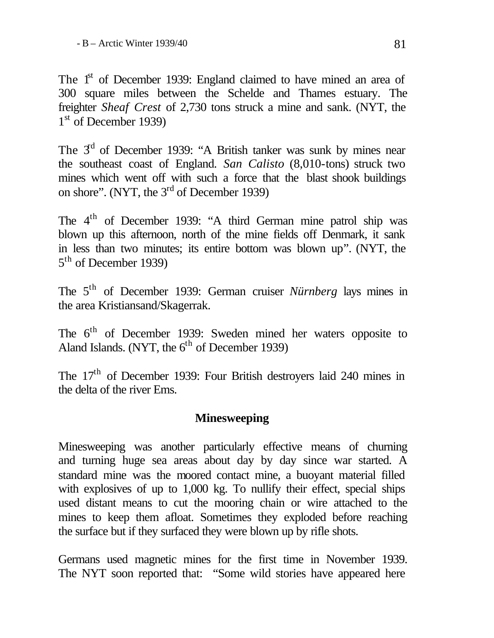The 1<sup>st</sup> of December 1939: England claimed to have mined an area of 300 square miles between the Schelde and Thames estuary. The freighter *Sheaf Crest* of 2,730 tons struck a mine and sank. (NYT, the 1<sup>st</sup> of December 1939)

The  $3<sup>d</sup>$  of December 1939: "A British tanker was sunk by mines near the southeast coast of England. *San Calisto* (8,010-tons) struck two mines which went off with such a force that the blast shook buildings on shore". (NYT, the 3<sup>rd</sup> of December 1939)

The 4<sup>th</sup> of December 1939: "A third German mine patrol ship was blown up this afternoon, north of the mine fields off Denmark, it sank in less than two minutes; its entire bottom was blown up". (NYT, the 5<sup>th</sup> of December 1939)

The 5<sup>th</sup> of December 1939: German cruiser *Nürnberg* lays mines in the area Kristiansand/Skagerrak.

The 6<sup>th</sup> of December 1939: Sweden mined her waters opposite to Aland Islands. (NYT, the  $6<sup>th</sup>$  of December 1939)

The 17<sup>th</sup> of December 1939: Four British destroyers laid 240 mines in the delta of the river Ems.

# **Minesweeping**

Minesweeping was another particularly effective means of churning and turning huge sea areas about day by day since war started. A standard mine was the moored contact mine, a buoyant material filled with explosives of up to 1,000 kg. To nullify their effect, special ships used distant means to cut the mooring chain or wire attached to the mines to keep them afloat. Sometimes they exploded before reaching the surface but if they surfaced they were blown up by rifle shots.

Germans used magnetic mines for the first time in November 1939. The NYT soon reported that: "Some wild stories have appeared here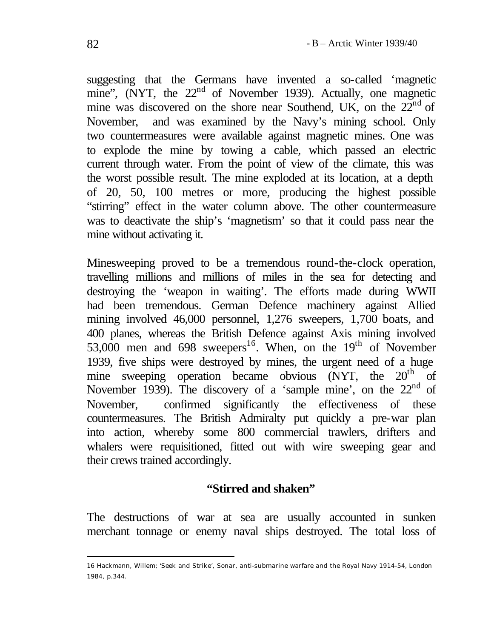suggesting that the Germans have invented a so-called 'magnetic mine", (NYT, the  $22<sup>nd</sup>$  of November 1939). Actually, one magnetic mine was discovered on the shore near Southend, UK, on the  $22<sup>nd</sup>$  of November, and was examined by the Navy's mining school. Only two countermeasures were available against magnetic mines. One was to explode the mine by towing a cable, which passed an electric current through water. From the point of view of the climate, this was the worst possible result. The mine exploded at its location, at a depth of 20, 50, 100 metres or more, producing the highest possible "stirring" effect in the water column above. The other countermeasure was to deactivate the ship's 'magnetism' so that it could pass near the mine without activating it.

Minesweeping proved to be a tremendous round-the-clock operation, travelling millions and millions of miles in the sea for detecting and destroying the 'weapon in waiting'. The efforts made during WWII had been tremendous. German Defence machinery against Allied mining involved 46,000 personnel, 1,276 sweepers, 1,700 boats, and 400 planes, whereas the British Defence against Axis mining involved 53,000 men and 698 sweepers<sup>16</sup>. When, on the 19<sup>th</sup> of November 1939, five ships were destroyed by mines, the urgent need of a huge mine sweeping operation became obvious  $(NYT$ , the  $20<sup>th</sup>$  of November 1939). The discovery of a 'sample mine', on the  $22<sup>nd</sup>$  of November, confirmed significantly the effectiveness of these countermeasures. The British Admiralty put quickly a pre-war plan into action, whereby some 800 commercial trawlers, drifters and whalers were requisitioned, fitted out with wire sweeping gear and their crews trained accordingly.

### **"Stirred and shaken"**

The destructions of war at sea are usually accounted in sunken merchant tonnage or enemy naval ships destroyed. The total loss of

<sup>16</sup> Hackmann, Willem; 'Seek and Strike', Sonar, anti-submarine warfare and the Royal Navy 1914-54, London 1984, p.344.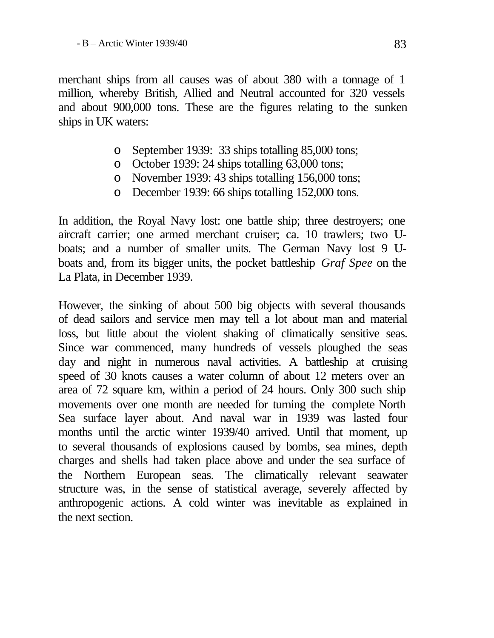merchant ships from all causes was of about 380 with a tonnage of 1 million, whereby British, Allied and Neutral accounted for 320 vessels and about 900,000 tons. These are the figures relating to the sunken ships in UK waters:

- o September 1939: 33 ships totalling 85,000 tons;
- o October 1939: 24 ships totalling 63,000 tons;
- o November 1939: 43 ships totalling 156,000 tons;
- o December 1939: 66 ships totalling 152,000 tons.

In addition, the Royal Navy lost: one battle ship; three destroyers; one aircraft carrier; one armed merchant cruiser; ca. 10 trawlers; two Uboats; and a number of smaller units. The German Navy lost 9 Uboats and, from its bigger units, the pocket battleship *Graf Spee* on the La Plata, in December 1939.

However, the sinking of about 500 big objects with several thousands of dead sailors and service men may tell a lot about man and material loss, but little about the violent shaking of climatically sensitive seas. Since war commenced, many hundreds of vessels ploughed the seas day and night in numerous naval activities. A battleship at cruising speed of 30 knots causes a water column of about 12 meters over an area of 72 square km, within a period of 24 hours. Only 300 such ship movements over one month are needed for turning the complete North Sea surface layer about. And naval war in 1939 was lasted four months until the arctic winter 1939/40 arrived. Until that moment, up to several thousands of explosions caused by bombs, sea mines, depth charges and shells had taken place above and under the sea surface of the Northern European seas. The climatically relevant seawater structure was, in the sense of statistical average, severely affected by anthropogenic actions. A cold winter was inevitable as explained in the next section.